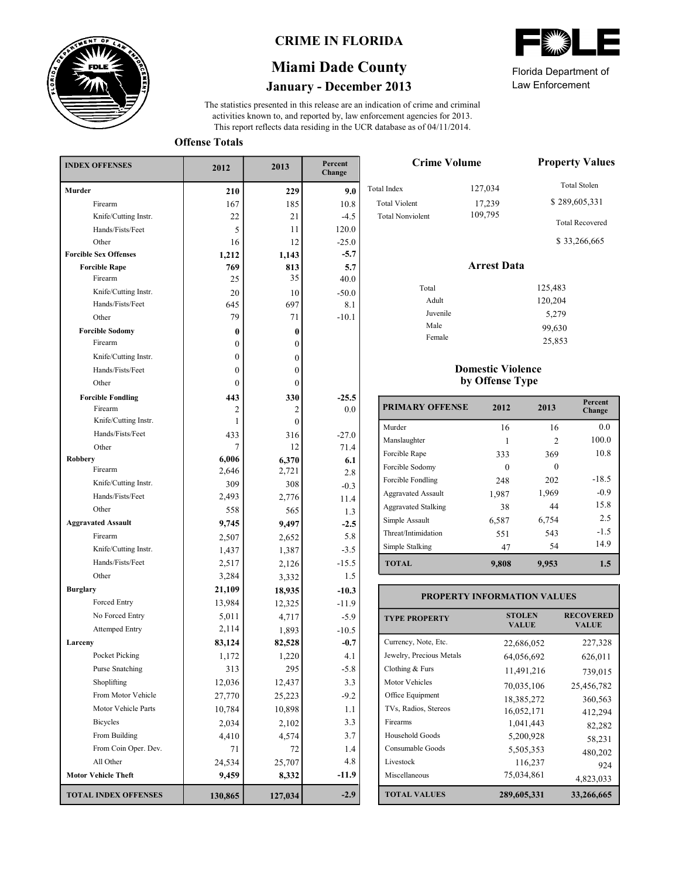

### **CRIME IN FLORIDA**

# **January - December 2013 Miami Dade County**

This report reflects data residing in the UCR database as of 04/11/2014. activities known to, and reported by, law enforcement agencies for 2013. The statistics presented in this release are an indication of crime and criminal

**Offense Totals**

| <b>INDEX OFFENSES</b>        | 2012             | 2013         | Percent<br>Change |  |
|------------------------------|------------------|--------------|-------------------|--|
| Murder                       | 210              | 229          | 9.0               |  |
| Firearm                      | 167              | 185          | 10.8              |  |
| Knife/Cutting Instr.         | 22               | 21           | $-4.5$            |  |
| Hands/Fists/Feet             | 5                | 11           | 120.0             |  |
| Other                        | 16               | 12           | $-25.0$           |  |
| <b>Forcible Sex Offenses</b> | 1,212            | 1,143        | $-5.7$            |  |
| <b>Forcible Rape</b>         | 769              | 813          | 5.7               |  |
| Firearm                      | 25               | 35           | 40.0              |  |
| Knife/Cutting Instr.         | 20               | 10           | $-50.0$           |  |
| Hands/Fists/Feet             | 645              | 697          | 8.1               |  |
| Other                        | 79               | 71           | $-10.1$           |  |
| <b>Forcible Sodomy</b>       | 0                | $\bf{0}$     |                   |  |
| Firearm                      | $\boldsymbol{0}$ | $\mathbf{0}$ |                   |  |
| Knife/Cutting Instr.         | $\boldsymbol{0}$ | $\theta$     |                   |  |
| Hands/Fists/Feet             | 0                | $\mathbf{0}$ |                   |  |
| Other                        | 0                | $\theta$     |                   |  |
| <b>Forcible Fondling</b>     | 443              | 330          | $-25.5$           |  |
| Firearm                      | 2                | 2            | 0.0               |  |
| Knife/Cutting Instr.         | 1                | $\theta$     |                   |  |
| Hands/Fists/Feet             | 433              | 316          | $-27.0$           |  |
| Other                        | 7                | 12           | 71.4              |  |
| <b>Robbery</b>               | 6,006            | 6,370        | 6.1               |  |
| Firearm                      | 2,646            | 2,721        | 2.8               |  |
| Knife/Cutting Instr.         | 309              | 308          | $-0.3$            |  |
| Hands/Fists/Feet             | 2,493            | 2,776        | 11.4              |  |
| Other                        | 558              | 565          | 1.3               |  |
| <b>Aggravated Assault</b>    | 9,745            | 9,497        | $-2.5$            |  |
| Firearm                      | 2,507            | 2,652        | 5.8               |  |
| Knife/Cutting Instr.         | 1,437            | 1,387        | $-3.5$            |  |
| Hands/Fists/Feet             | 2,517            | 2,126        | $-15.5$           |  |
| Other                        | 3,284            | 3,332        | 1.5               |  |
| <b>Burglary</b>              | 21,109           | 18,935       | $-10.3$           |  |
| Forced Entry                 | 13,984           | 12,325       | $-11.9$           |  |
| No Forced Entry              | 5,011            | 4,717        | $-5.9$            |  |
| <b>Attemped Entry</b>        | 2,114            | 1,893        | $-10.5$           |  |
| Larceny                      | 83,124           | 82,528       | $-0.7$            |  |
| Pocket Picking               | 1,172            | 1,220        | 4.1               |  |
| Purse Snatching              | 313              | 295          | $-5.8$            |  |
| Shoplifting                  | 12,036           | 12,437       | 3.3               |  |
| From Motor Vehicle           | 27,770           | 25,223       | $-9.2$            |  |
| Motor Vehicle Parts          | 10,784           | 10,898       | 1.1               |  |
| <b>Bicycles</b>              | 2,034            | 2,102        | 3.3               |  |
| From Building                | 4,410            | 4,574        | 3.7               |  |
| From Coin Oper. Dev.         | 71               | 72           | 1.4               |  |
| All Other                    | 24,534           | 25,707       | 4.8               |  |
| <b>Motor Vehicle Theft</b>   | 9,459            | 8,332        | $-11.9$           |  |
| <b>TOTAL INDEX OFFENSES</b>  | 130,865          | 127,034      | $-2.9$            |  |

| <b>Crime Volume</b>     | <b>Property Values</b> |                                        |  |  |
|-------------------------|------------------------|----------------------------------------|--|--|
| Total Index             | 127,034                | <b>Total Stolen</b>                    |  |  |
| <b>Total Violent</b>    | 17,239                 | \$289,605,331                          |  |  |
| <b>Total Nonviolent</b> | 109,795                | <b>Total Recovered</b><br>\$33,266,665 |  |  |
|                         | <b>Arrest Data</b>     |                                        |  |  |
| Total                   |                        | 125,483                                |  |  |
| Adult                   |                        | 120,204                                |  |  |
| Juvenile                |                        | 5,279                                  |  |  |

#### **Domestic Violence by Offense Type**

Male Female

| <b>PRIMARY OFFENSE</b>     | 2012     | 2013           | Percent<br>Change |
|----------------------------|----------|----------------|-------------------|
| Murder                     | 16       | 16             | 0.0               |
| Manslaughter               |          | $\mathfrak{D}$ | 100.0             |
| Forcible Rape              | 333      | 369            | 10.8              |
| Forcible Sodomy            | $\Omega$ | $\Omega$       |                   |
| Forcible Fondling          | 248      | 202            | $-18.5$           |
| <b>Aggravated Assault</b>  | 1,987    | 1,969          | $-0.9$            |
| <b>Aggravated Stalking</b> | 38       | 44             | 15.8              |
| Simple Assault             | 6,587    | 6,754          | 2.5               |
| Threat/Intimidation        | 551      | 543            | $-1.5$            |
| Simple Stalking            | 47       | 54             | 14.9              |
| <b>TOTAL</b>               | 9,808    | 9,953          | 1.5               |

| <b>TYPE PROPERTY</b>     | <b>STOLEN</b><br><b>VALUE</b> | <b>RECOVERED</b><br><b>VALUE</b> |  |
|--------------------------|-------------------------------|----------------------------------|--|
| Currency, Note, Etc.     | 22,686,052                    | 227,328                          |  |
| Jewelry, Precious Metals | 64,056,692                    | 626,011                          |  |
| Clothing $& Furs$        | 11,491,216                    | 739,015                          |  |
| <b>Motor Vehicles</b>    | 70,035,106                    | 25,456,782                       |  |
| Office Equipment         | 18,385,272                    | 360,563                          |  |
| TVs, Radios, Stereos     | 16,052,171                    | 412,294                          |  |
| Firearms                 | 1,041,443                     | 82,282                           |  |
| Household Goods          | 5,200,928                     | 58,231                           |  |
| Consumable Goods         | 5,505,353                     | 480,202                          |  |
| Livestock                | 116,237                       | 924                              |  |
| Miscellaneous            | 75,034,861                    | 4,823,033                        |  |
| <b>TOTAL VALUES</b>      | 289,605,331                   | 33,266,665                       |  |



Law Enforcement Florida Department of

> 99,630 25,853